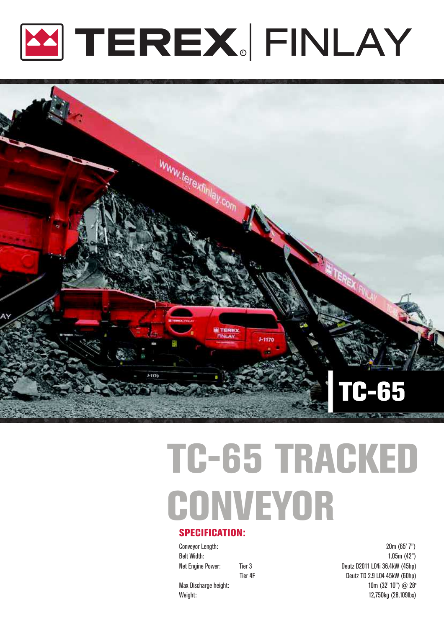



# TC-65 TRACKED **CONVEYOR** SPECIFICATION:

Conveyor Length: 20m (65' 7") Belt Width: 1.05m (42") Net Engine Power: Tier 3 The Second League Countries Countries Deutz D2011 L04i 36.4kW (45hp) Tier 4F Deutz TD 2.9 L04 45kW (60hp) Max Discharge height:  $\frac{100}{2}$  and  $\frac{100}{2}$  and  $\frac{100}{2}$  and  $\frac{100}{2}$  and  $\frac{100}{2}$  and  $\frac{100}{2}$  and  $\frac{100}{2}$  and  $\frac{100}{2}$  and  $\frac{100}{2}$  and  $\frac{100}{2}$  and  $\frac{100}{2}$  and  $\frac{100}{2}$  and  $\frac{100$ Weight: 12,750kg (28,109lbs)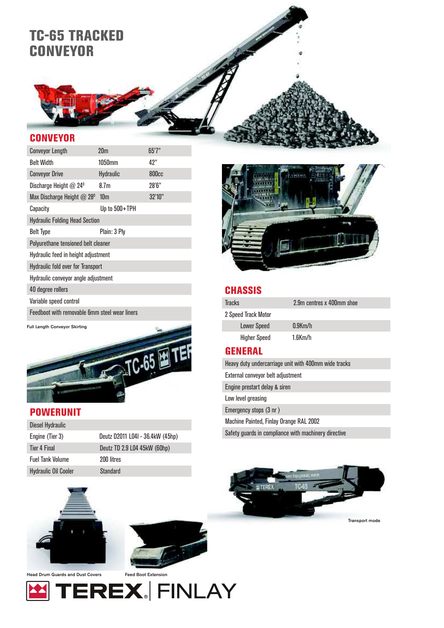### TC-65 TRACKED **CONVEYOR**

#### **CONVEYOR**

| <b>Conveyor Length</b>                                | 20 <sub>m</sub>  | 65'7'' |  |  |
|-------------------------------------------------------|------------------|--------|--|--|
| <b>Belt Width</b>                                     | 1050mm           | 42"    |  |  |
| <b>Conveyor Drive</b>                                 | <b>Hydraulic</b> | 800cc  |  |  |
| Discharge Height $@$ 24 <sup>°</sup>                  | 8.7m             | 28'6"  |  |  |
| Max Discharge Height $@$ 28 <sup>0</sup>              | 10 <sub>m</sub>  | 32'10" |  |  |
| Capacity                                              | Up to 500+TPH    |        |  |  |
| <b>Hydraulic Folding Head Section</b>                 |                  |        |  |  |
| <b>Belt Type</b>                                      | Plain: 3 Ply     |        |  |  |
| Polyurethane tensioned belt cleaner                   |                  |        |  |  |
| Hydraulic feed in height adjustment                   |                  |        |  |  |
| <b>Hydraulic fold over for Transport</b>              |                  |        |  |  |
| Hydraulic conveyor angle adjustment                   |                  |        |  |  |
| 40 degree rollers                                     |                  |        |  |  |
| Variable speed control                                |                  |        |  |  |
| <b>Feedboot with removable fimm steel wear liners</b> |                  |        |  |  |

Full Length Conveyor Skirting



#### POWERUNIT

| <b>Diesel Hydraulic</b>     |                                  |
|-----------------------------|----------------------------------|
| Engine (Tier 3)             | Deutz D2011 L04I - 36.4kW (45hp) |
| Tier 4 Final                | Deutz TD 2.9 L04 45kW (60hp)     |
| <b>Fuel Tank Volume</b>     | 200 litres                       |
| <b>Hydraulic Oil Cooler</b> | Standard                         |



#### **CHASSIS**

| Tracks              | 2.9m centres x 400mm shoe |
|---------------------|---------------------------|
| 2 Speed Track Motor |                           |
| Lower Speed         | $0.9$ Km/h                |
| <b>Higher Speed</b> | $1.6$ Km/h                |

#### **GENERAL**

Heavy duty undercarriage unit with 400mm wide tracks

External conveyor belt adjustment

Engine prestart delay & siren

Low level greasing

Emergency stops (3 nr )

Machine Painted, Finlay Orange RAL 2002

Safety guards in compliance with machinery directive







Head Drum Guards and Dust Covers

Feed Boot Extension

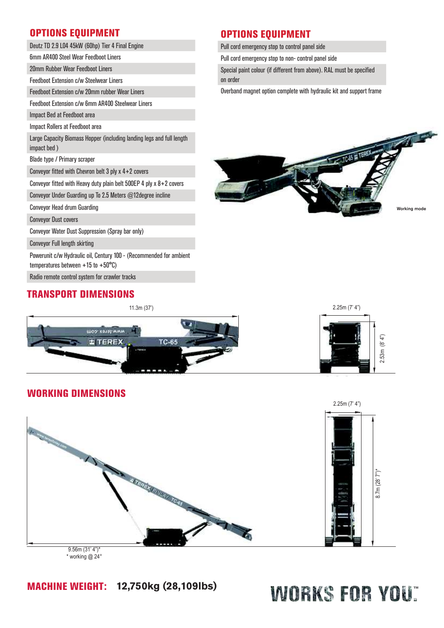#### OPTIONS EQUIPMENT

| Deutz TD 2.9 L04 45kW (60hp) Tier 4 Final Engine |  |
|--------------------------------------------------|--|
|--------------------------------------------------|--|

6mm AR400 Steel Wear Feedboot Liners

20mm Rubber Wear Feedboot Liners

Feedboot Extension c/w Steelwear Liners

Feedboot Extension c/w 20mm rubber Wear Liners

Feedboot Extension c/w 6mm AR400 Steelwear Liners

Impact Bed at Feedboot area

#### Impact Rollers at Feedboot area

Large Capacity Biomass Hopper (including landing legs and full length impact bed )

Blade type / Primary scraper

Conveyor fitted with Chevron belt 3 ply x 4+2 covers

Conveyor fitted with Heavy duty plain belt 500EP 4 ply x 8+2 covers

Conveyor Under Guarding up To 2.5 Meters @12degree incline

Conveyor Head drum Guarding

Conveyor Dust covers

Conveyor Water Dust Suppression (Spray bar only)

Conveyor Full length skirting

Powerunit c/w Hydraulic oil, Century 100 - (Recommended for ambient

temperatures between +15 to +50°C)

Radio remote control system for crawler tracks

#### TRANSPORT DIMENSIONS



Pull cord emergency stop to control panel side

Pull cord emergency stop to non- control panel side

Special paint colour (if different from above). RAL must be specified on order

Overband magnet option complete with hydraulic kit and support frame





#### WORKING DIMENSIONS



\* working @ 24°

#### MACHINE WEIGHT: **12,750kg (28,109lbs)**

## WORKS FOR YOU"